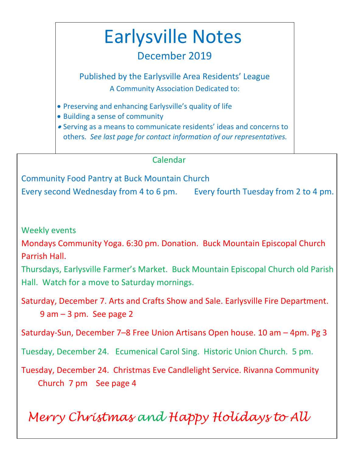# Earlysville Notes

# December 2019

Published by the Earlysville Area Residents' League A Community Association Dedicated to:

- Preserving and enhancing Earlysville's quality of life
- Building a sense of community
- Serving as a means to communicate residents' ideas and concerns to others. *See last page for contact information of our representatives.*

### Calendar

Community Food Pantry at Buck Mountain Church Every second Wednesday from 4 to 6 pm. Every fourth Tuesday from 2 to 4 pm.

Weekly events

Mondays Community Yoga. 6:30 pm. Donation. Buck Mountain Episcopal Church Parrish Hall.

Thursdays, Earlysville Farmer's Market. Buck Mountain Episcopal Church old Parish Hall. Watch for a move to Saturday mornings.

 Saturday, December 7. Arts and Crafts Show and Sale. Earlysville Fire Department. 9 am – 3 pm. See page 2

Saturday-Sun, December 7–8 Free Union Artisans Open house. 10 am – 4pm. Pg 3

Tuesday, December 24. Ecumenical Carol Sing. Historic Union Church. 5 pm.

 Tuesday, December 24. Christmas Eve Candlelight Service. Rivanna Community Church 7 pm See page 4

*Merry Christmas and Happy Holidays to All*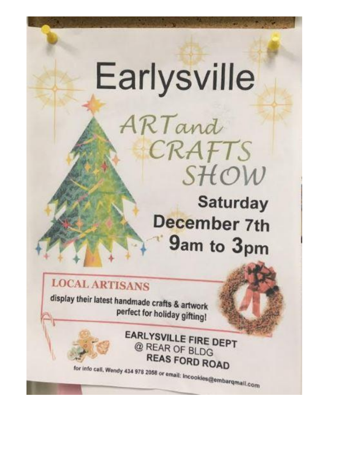# Earlysville

ARTand

**Saturday December 7th** 9am to 3pm

SHOW

CRAFTS

**LOCAL ARTISANS** 

display their latest handmade crafts & artwork perfect for holiday gifting!

> **EARLYSVILLE FIRE DEPT** @ REAR OF BLDG **REAS FORD ROAD**

for info call, Wendy 434 978 2058 or email: Incookies@embarqmail.com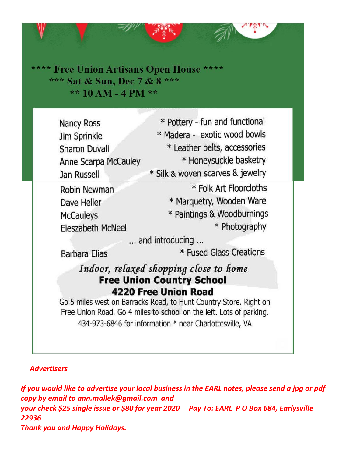\*\*\*\* Free Union Artisans Open House \*\*\*\* \*\*\* Sat & Sun, Dec 7 & 8 \*\*\* \*\*  $10 AM - 4 PM$  \*\*

\* Pottery - fun and functional **Nancy Ross** \* Madera - exotic wood bowls Jim Sprinkle \* Leather belts, accessories **Sharon Duvall** \* Honeysuckle basketry Anne Scarpa McCauley \* Silk & woven scarves & jewelry **Jan Russell** \* Folk Art Floorcloths Robin Newman \* Marquetry, Wooden Ware Dave Heller \* Paintings & Woodburnings **McCauleys** \* Photography **Eleszabeth McNeel** ... and introducing ... \* Fused Glass Creations **Barbara Elias** Indoor, relaxed shopping close to home **Free Union Country School 4220 Free Union Road** Go 5 miles west on Barracks Road, to Hunt Country Store. Right on Free Union Road. Go 4 miles to school on the left. Lots of parking. 434-973-6846 for information \* near Charlottesville, VA

#### *Advertisers*

*If you would like to advertise your local business in the EARL notes, please send a jpg or pdf copy by email to [ann.mallek@gmail.com](mailto:ann.mallek@gmail.com) and your check \$25 single issue or \$80 for year 2020 Pay To: EARL P O Box 684, Earlysville 22936 Thank you and Happy Holidays.*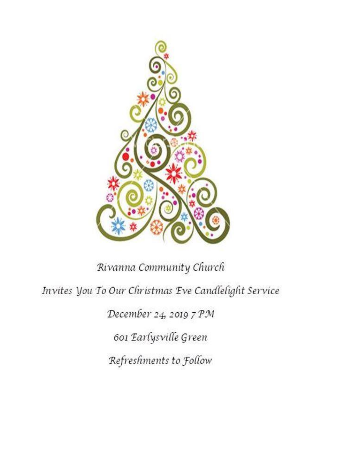

# Rivanna Community Church

Invites You To Our Christmas Eve Candlelight Service

December 24, 2019 7 PM

601 Earlysville Green

Refreshments to Follow